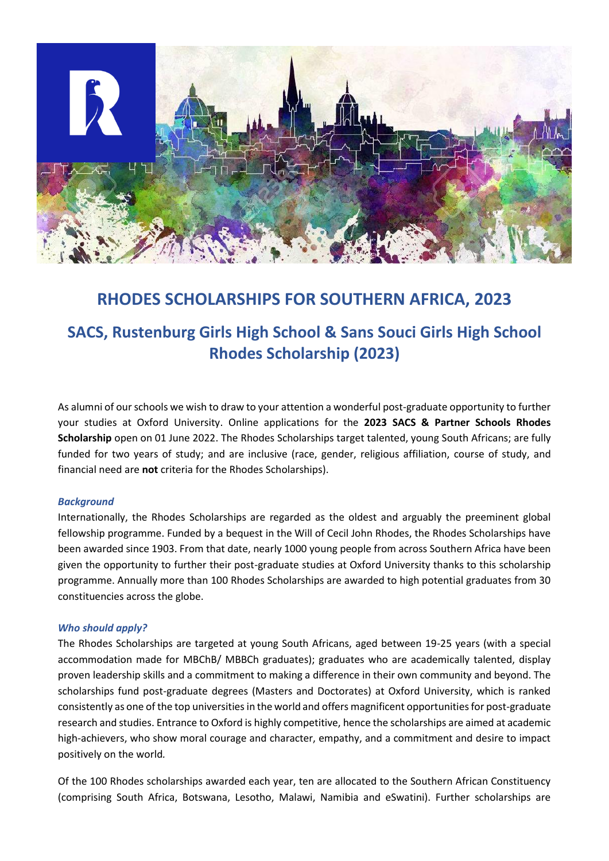

## **RHODES SCHOLARSHIPS FOR SOUTHERN AFRICA, 2023**

# **SACS, Rustenburg Girls High School & Sans Souci Girls High School Rhodes Scholarship (2023)**

As alumni of our schools we wish to draw to your attention a wonderful post-graduate opportunity to further your studies at Oxford University. Online applications for the **2023 SACS & Partner Schools Rhodes Scholarship** open on 01 June 2022. The Rhodes Scholarships target talented, young South Africans; are fully funded for two years of study; and are inclusive (race, gender, religious affiliation, course of study, and financial need are **not** criteria for the Rhodes Scholarships).

#### *Background*

Internationally, the Rhodes Scholarships are regarded as the oldest and arguably the preeminent global fellowship programme. Funded by a bequest in the Will of Cecil John Rhodes, the Rhodes Scholarships have been awarded since 1903. From that date, nearly 1000 young people from across Southern Africa have been given the opportunity to further their post-graduate studies at Oxford University thanks to this scholarship programme. Annually more than 100 Rhodes Scholarships are awarded to high potential graduates from 30 constituencies across the globe.

#### *Who should apply?*

The Rhodes Scholarships are targeted at young South Africans, aged between 19-25 years (with a special accommodation made for MBChB/ MBBCh graduates); graduates who are academically talented, display proven leadership skills and a commitment to making a difference in their own community and beyond. The scholarships fund post-graduate degrees (Masters and Doctorates) at Oxford University, which is ranked consistently as one of the top universities in the world and offers magnificent opportunities for post-graduate research and studies. Entrance to Oxford is highly competitive, hence the scholarships are aimed at academic high-achievers, who show moral courage and character, empathy, and a commitment and desire to impact positively on the world*.*

Of the 100 Rhodes scholarships awarded each year, ten are allocated to the Southern African Constituency (comprising South Africa, Botswana, Lesotho, Malawi, Namibia and eSwatini). Further scholarships are